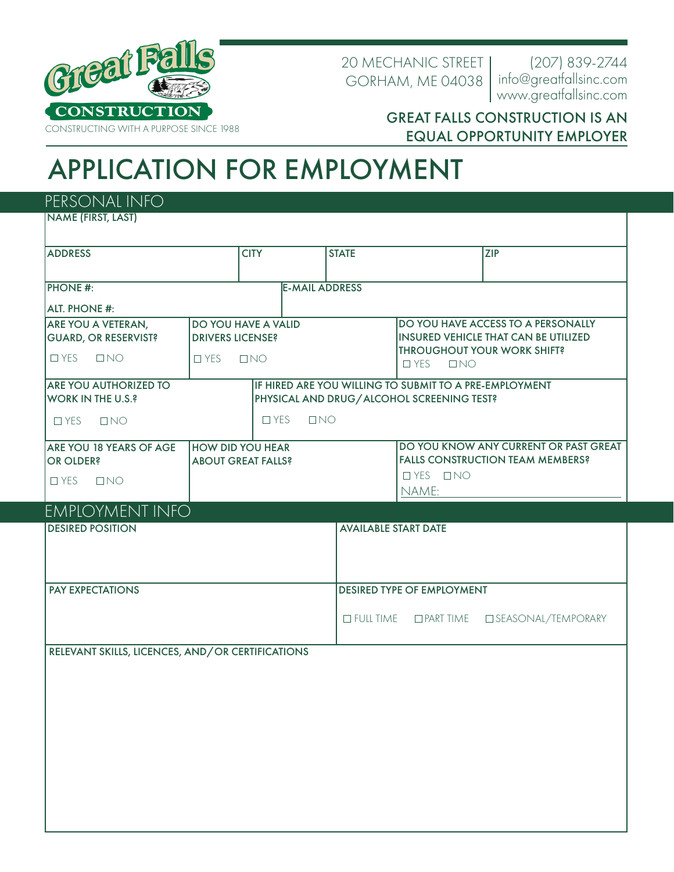

20 MECHANIC STREET GORHAM, ME 04038

www.greatfallsinc.com (207) 839-2744 info@greatfallsinc.com

## GREAT FALLS CONSTRUCTION IS AN EQUAL OPPORTUNITY EMPLOYER

## APPLICATION FOR EMPLOYMENT

PERSONAL INFO

NAME (FIRST, LAST)

| <b>ADDRESS</b>                                   |                           | <b>CITY</b>                               |                       | <b>STATE</b>                      |                                                                                                              | <b>ZIP</b>                            |  |
|--------------------------------------------------|---------------------------|-------------------------------------------|-----------------------|-----------------------------------|--------------------------------------------------------------------------------------------------------------|---------------------------------------|--|
|                                                  |                           |                                           |                       |                                   |                                                                                                              |                                       |  |
| <b>PHONE #:</b>                                  |                           |                                           | <b>E-MAIL ADDRESS</b> |                                   |                                                                                                              |                                       |  |
| <b>ALT. PHONE #:</b>                             |                           |                                           |                       |                                   |                                                                                                              |                                       |  |
| ARE YOU A VETERAN,                               | DO YOU HAVE A VALID       |                                           |                       |                                   | DO YOU HAVE ACCESS TO A PERSONALLY                                                                           |                                       |  |
| <b>GUARD, OR RESERVIST?</b>                      | <b>DRIVERS LICENSE?</b>   |                                           |                       |                                   | <b>INSURED VEHICLE THAT CAN BE UTILIZED</b><br><b>THROUGHOUT YOUR WORK SHIFT?</b><br>$\Box$ YES<br>$\Box$ NO |                                       |  |
| $\Box$ NO<br>$\Box$ YES                          | $\Box$ YES<br>$\Box$ NO   |                                           |                       |                                   |                                                                                                              |                                       |  |
| <b>ARE YOU AUTHORIZED TO</b>                     |                           |                                           |                       |                                   | IF HIRED ARE YOU WILLING TO SUBMIT TO A PRE-EMPLOYMENT                                                       |                                       |  |
| <b>WORK IN THE U.S.?</b>                         |                           | PHYSICAL AND DRUG/ALCOHOL SCREENING TEST? |                       |                                   |                                                                                                              |                                       |  |
| $\Box$ YES<br>$\Box$ NO                          | $\Box$ YES<br>$\Box$ NO   |                                           |                       |                                   |                                                                                                              |                                       |  |
| ARE YOU 18 YEARS OF AGE                          | <b>HOW DID YOU HEAR</b>   |                                           |                       |                                   |                                                                                                              | DO YOU KNOW ANY CURRENT OR PAST GREAT |  |
| <b>OR OLDER?</b>                                 | <b>ABOUT GREAT FALLS?</b> |                                           |                       |                                   | <b>FALLS CONSTRUCTION TEAM MEMBERS?</b>                                                                      |                                       |  |
| $\Box$ YES<br>$\Box$ NO                          |                           |                                           |                       |                                   | $I$ YES $I$ NO<br>NAME:                                                                                      |                                       |  |
| <b>EMPLOYMENT INFO</b>                           |                           |                                           |                       |                                   |                                                                                                              |                                       |  |
| <b>DESIRED POSITION</b>                          |                           |                                           |                       | <b>AVAILABLE START DATE</b>       |                                                                                                              |                                       |  |
|                                                  |                           |                                           |                       |                                   |                                                                                                              |                                       |  |
|                                                  |                           |                                           |                       |                                   |                                                                                                              |                                       |  |
| <b>PAY EXPECTATIONS</b>                          |                           |                                           |                       | DESIRED TYPE OF EMPLOYMENT        |                                                                                                              |                                       |  |
|                                                  |                           |                                           |                       |                                   |                                                                                                              |                                       |  |
|                                                  |                           |                                           |                       | $\Box$ FULL TIME $\Box$ PART TIME | □ SEASONAL/TEMPORARY                                                                                         |                                       |  |
| RELEVANT SKILLS, LICENCES, AND/OR CERTIFICATIONS |                           |                                           |                       |                                   |                                                                                                              |                                       |  |
|                                                  |                           |                                           |                       |                                   |                                                                                                              |                                       |  |
|                                                  |                           |                                           |                       |                                   |                                                                                                              |                                       |  |
|                                                  |                           |                                           |                       |                                   |                                                                                                              |                                       |  |
|                                                  |                           |                                           |                       |                                   |                                                                                                              |                                       |  |
|                                                  |                           |                                           |                       |                                   |                                                                                                              |                                       |  |
|                                                  |                           |                                           |                       |                                   |                                                                                                              |                                       |  |
|                                                  |                           |                                           |                       |                                   |                                                                                                              |                                       |  |
|                                                  |                           |                                           |                       |                                   |                                                                                                              |                                       |  |
|                                                  |                           |                                           |                       |                                   |                                                                                                              |                                       |  |
|                                                  |                           |                                           |                       |                                   |                                                                                                              |                                       |  |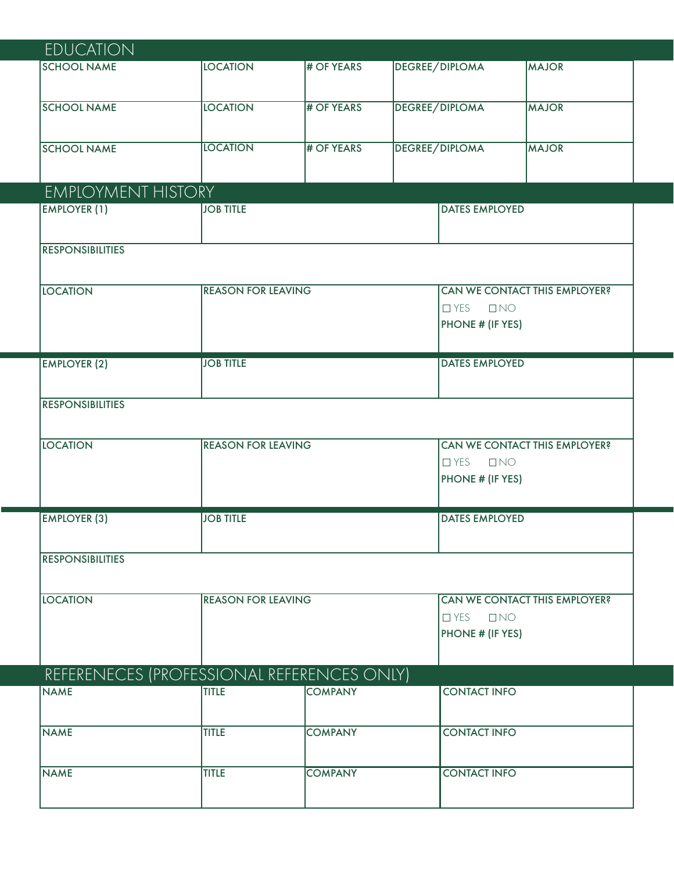| <b>EDUCATION</b>                           |                           |                |                         |                                                          |  |  |
|--------------------------------------------|---------------------------|----------------|-------------------------|----------------------------------------------------------|--|--|
| <b>SCHOOL NAME</b>                         | <b>LOCATION</b>           | # OF YEARS     | <b>DEGREE/DIPLOMA</b>   | <b>MAJOR</b>                                             |  |  |
|                                            |                           |                |                         |                                                          |  |  |
| <b>SCHOOL NAME</b>                         | <b>LOCATION</b>           | # OF YEARS     | <b>DEGREE/DIPLOMA</b>   | <b>MAJOR</b>                                             |  |  |
|                                            |                           |                |                         |                                                          |  |  |
| <b>SCHOOL NAME</b>                         | <b>LOCATION</b>           | # OF YEARS     | <b>DEGREE/DIPLOMA</b>   | <b>MAJOR</b>                                             |  |  |
|                                            |                           |                |                         |                                                          |  |  |
| <b>EMPLOYMENT HISTORY</b>                  |                           |                |                         |                                                          |  |  |
| <b>EMPLOYER (1)</b>                        | <b>JOB TITLE</b>          |                | <b>DATES EMPLOYED</b>   |                                                          |  |  |
|                                            |                           |                |                         |                                                          |  |  |
| <b>RESPONSIBILITIES</b>                    |                           |                |                         |                                                          |  |  |
|                                            |                           |                |                         |                                                          |  |  |
| <b>LOCATION</b>                            | <b>REASON FOR LEAVING</b> |                |                         | CAN WE CONTACT THIS EMPLOYER?<br>$\Box$ YES<br>$\Box$ NO |  |  |
|                                            |                           |                |                         | PHONE # (IF YES)                                         |  |  |
|                                            |                           |                |                         |                                                          |  |  |
| <b>EMPLOYER (2)</b>                        | <b>JOB TITLE</b>          |                |                         | <b>DATES EMPLOYED</b>                                    |  |  |
|                                            |                           |                |                         |                                                          |  |  |
| <b>RESPONSIBILITIES</b>                    |                           |                |                         |                                                          |  |  |
|                                            |                           |                |                         |                                                          |  |  |
| <b>LOCATION</b>                            | <b>REASON FOR LEAVING</b> |                |                         | <b>CAN WE CONTACT THIS EMPLOYER?</b>                     |  |  |
|                                            |                           |                | $\Box$ YES<br>$\Box$ NO |                                                          |  |  |
|                                            |                           |                | PHONE # (IF YES)        |                                                          |  |  |
| <b>EMPLOYER (3)</b>                        | <b>JOB TITLE</b>          |                | <b>DATES EMPLOYED</b>   |                                                          |  |  |
|                                            |                           |                |                         |                                                          |  |  |
| <b>RESPONSIBILITIES</b>                    |                           |                |                         |                                                          |  |  |
|                                            |                           |                |                         |                                                          |  |  |
| <b>LOCATION</b>                            | <b>REASON FOR LEAVING</b> |                |                         | <b>CAN WE CONTACT THIS EMPLOYER?</b>                     |  |  |
|                                            |                           |                | $\Box$ YES              | $\Box$ NO                                                |  |  |
|                                            |                           |                |                         | PHONE # (IF YES)                                         |  |  |
|                                            |                           |                |                         |                                                          |  |  |
| REFERENECES (PROFESSIONAL REFERENCES ONLY) |                           |                |                         |                                                          |  |  |
| <b>NAME</b>                                | <b>TITLE</b>              | <b>COMPANY</b> | <b>CONTACT INFO</b>     |                                                          |  |  |
|                                            |                           |                |                         |                                                          |  |  |
| <b>NAME</b>                                | <b>TITLE</b>              | <b>COMPANY</b> | <b>CONTACT INFO</b>     |                                                          |  |  |
|                                            |                           |                |                         |                                                          |  |  |
| <b>NAME</b>                                | <b>TITLE</b>              | <b>COMPANY</b> | <b>CONTACT INFO</b>     |                                                          |  |  |
|                                            |                           |                |                         |                                                          |  |  |